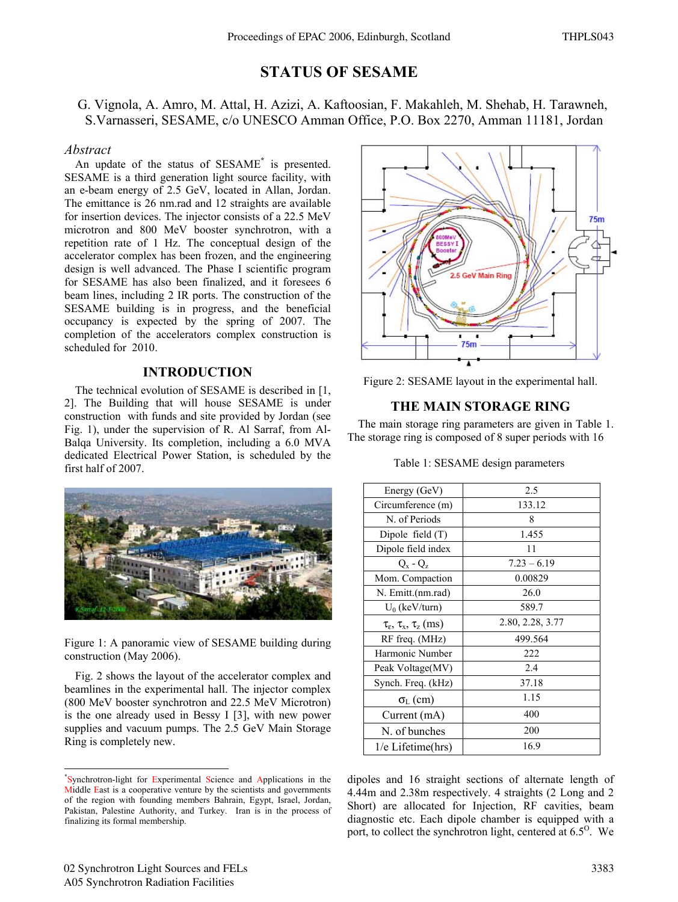# **STATUS OF SESAME**

G. Vignola, A. Amro, M. Attal, H. Azizi, A. Kaftoosian, F. Makahleh, M. Shehab, H. Tarawneh, S. Varnasseri, SESAME, c/o UNESCO Amman Office, P.O. Box 2270, Amman 11181, Jordan

## *Abstract*

An update of the status of SESAME**\*** is presented. SESAME is a third generation light source facility, with an e-beam energy of 2.5 GeV, located in Allan, Jordan. The emittance is 26 nm.rad and 12 straights are available for insertion devices. The injector consists of a 22.5 MeV microtron and 800 MeV booster synchrotron, with a repetition rate of 1 Hz. The conceptual design of the accelerator complex has been frozen, and the engineering design is well advanced. The Phase I scientific program for SESAME has also been finalized, and it foresees 6 beam lines, including 2 IR ports. The construction of the SESAME building is in progress, and the beneficial occupancy is expected by the spring of 2007. The completion of the accelerators complex construction is scheduled for 2010.

# **INTRODUCTION**

The technical evolution of SESAME is described in [1, 2]. The Building that will house SESAME is under construction with funds and site provided by Jordan (see Fig. 1), under the supervision of R. Al Sarraf, from Al-Balqa University. Its completion, including a 6.0 MVA dedicated Electrical Power Station, is scheduled by the first half of 2007.



Figure 1: A panoramic view of SESAME building during construction (May 2006).

Fig. 2 shows the layout of the accelerator complex and beamlines in the experimental hall. The injector complex (800 MeV booster synchrotron and 22.5 MeV Microtron) is the one already used in Bessy I [3], with new power supplies and vacuum pumps. The 2.5 GeV Main Storage Ring is completely new.



Figure 2: SESAME layout in the experimental hall.

# **THE MAIN STORAGE RING**

The main storage ring parameters are given in Table 1. The storage ring is composed of 8 super periods with 16

| Energy (GeV)                                        | 2.5              |  |  |
|-----------------------------------------------------|------------------|--|--|
| Circumference (m)                                   | 133.12           |  |  |
| N. of Periods                                       | 8                |  |  |
| Dipole field $(T)$                                  | 1.455            |  |  |
| Dipole field index                                  | 11               |  |  |
| $Q_x - Q_z$                                         | $7.23 - 6.19$    |  |  |
| Mom. Compaction                                     | 0.00829          |  |  |
| N. Emitt.(nm.rad)                                   | 26.0             |  |  |
| $U_0$ (keV/turn)                                    | 589.7            |  |  |
| $\tau_{\varepsilon}$ , $\tau_{x}$ , $\tau_{z}$ (ms) | 2.80, 2.28, 3.77 |  |  |
| RF freq. (MHz)                                      | 499.564          |  |  |
| Harmonic Number                                     | 222              |  |  |
| Peak Voltage(MV)                                    | 2.4              |  |  |
| Synch. Freq. (kHz)                                  | 37.18            |  |  |
| $\sigma_{\rm L}$ (cm)                               | 1.15             |  |  |
| Current (mA)                                        | 400              |  |  |
| N. of bunches                                       | 200              |  |  |
| $1/e$ Lifetime(hrs)                                 | 16.9             |  |  |

Table 1: SESAME design parameters

dipoles and 16 straight sections of alternate length of 4.44m and 2.38m respectively. 4 straights (2 Long and 2 Short) are allocated for Injection, RF cavities, beam diagnostic etc. Each dipole chamber is equipped with a port, to collect the synchrotron light, centered at  $6.5^{\circ}$ . We

 \* Synchrotron-light for Experimental Science and Applications in the Middle East is a cooperative venture by the scientists and governments of the region with founding members Bahrain, Egypt, Israel, Jordan, Pakistan, Palestine Authority, and Turkey. Iran is in the process of finalizing its formal membership.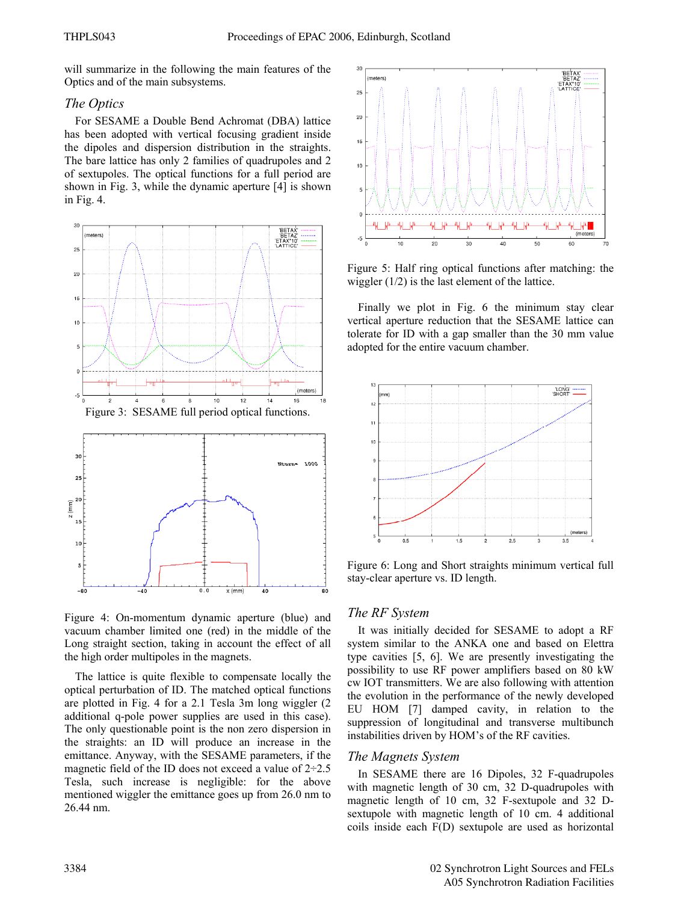will summarize in the following the main features of the Optics and of the main subsystems.

#### *The Optics*

For SESAME a Double Bend Achromat (DBA) lattice has been adopted with vertical focusing gradient inside the dipoles and dispersion distribution in the straights. The bare lattice has only 2 families of quadrupoles and 2 of sextupoles. The optical functions for a full period are shown in Fig. 3, while the dynamic aperture [4] is shown in Fig. 4.



Figure 4: On-momentum dynamic aperture (blue) and vacuum chamber limited one (red) in the middle of the Long straight section, taking in account the effect of all the high order multipoles in the magnets.

The lattice is quite flexible to compensate locally the optical perturbation of ID. The matched optical functions are plotted in Fig. 4 for a 2.1 Tesla 3m long wiggler (2 additional q-pole power supplies are used in this case). The only questionable point is the non zero dispersion in the straights: an ID will produce an increase in the emittance. Anyway, with the SESAME parameters, if the magnetic field of the ID does not exceed a value of  $2\div 2.5$ Tesla, such increase is negligible: for the above mentioned wiggler the emittance goes up from 26.0 nm to 26.44 nm.



Figure 5: Half ring optical functions after matching: the wiggler (1/2) is the last element of the lattice.

Finally we plot in Fig. 6 the minimum stay clear vertical aperture reduction that the SESAME lattice can tolerate for ID with a gap smaller than the 30 mm value adopted for the entire vacuum chamber.



Figure 6: Long and Short straights minimum vertical full stay-clear aperture vs. ID length.

# *The RF System*

It was initially decided for SESAME to adopt a RF system similar to the ANKA one and based on Elettra type cavities [5, 6]. We are presently investigating the possibility to use RF power amplifiers based on 80 kW cw IOT transmitters. We are also following with attention the evolution in the performance of the newly developed EU HOM [7] damped cavity, in relation to the suppression of longitudinal and transverse multibunch instabilities driven by HOM's of the RF cavities.

#### *The Magnets System*

In SESAME there are 16 Dipoles, 32 F-quadrupoles with magnetic length of 30 cm, 32 D-quadrupoles with magnetic length of 10 cm, 32 F-sextupole and 32 Dsextupole with magnetic length of 10 cm. 4 additional coils inside each F(D) sextupole are used as horizontal